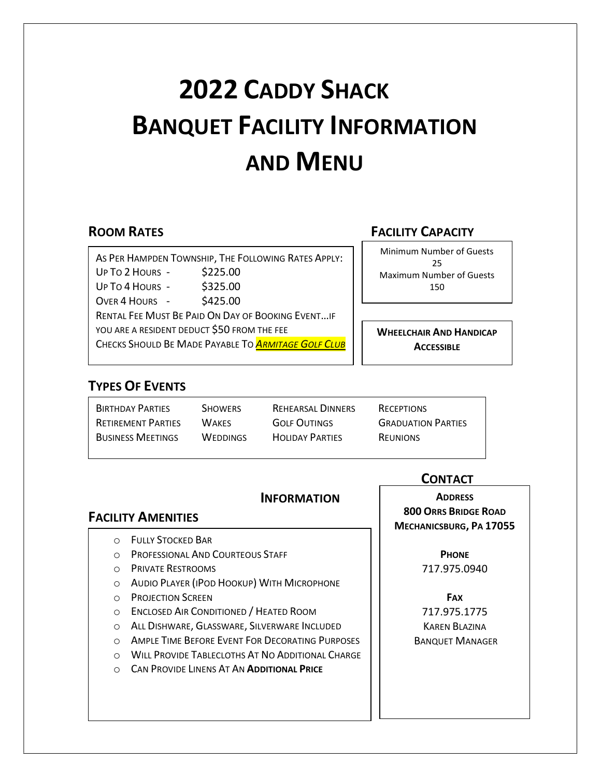# 2022 CADDY SHACK BANQUET FACILITY INFORMATION AND MENU

 AS PER HAMPDEN TOWNSHIP, THE FOLLOWING RATES APPLY: YOU ARE A RESIDENT DEDUCT \$50 FROM THE FEE UP TO 2 HOURS - \$225.00 UP TO 4 HOURS - \$325.00  $OVER 4$  HOURS - \$425.00 RENTAL FEE MUST BE PAID ON DAY OF BOOKING EVENT…IF CHECKS SHOULD BE MADE PAYABLE TO **ARMITAGE GOLF CLUB** 

#### **ROOM RATES EXAMPLE 20 INCHES FACILITY CAPACITY**

Minimum Number of Guests 25 Maximum Number of Guests 150

WHEELCHAIR AND HANDICAP **ACCESSIBLE** 

#### TYPES OF EVENTS

| <b>BIRTHDAY PARTIES</b>   | <b>SHOWERS</b>  | REHEARSAL DINNERS      | RECEPTIONS                |
|---------------------------|-----------------|------------------------|---------------------------|
| <b>RETIREMENT PARTIES</b> | <b>WAKES</b>    | <b>GOLF OUTINGS</b>    | <b>GRADUATION PARTIES</b> |
| <b>BUSINESS MEETINGS</b>  | <b>WEDDINGS</b> | <b>HOLIDAY PARTIES</b> | <b>REUNIONS</b>           |

#### **INFORMATION**

#### FACILITY AMENITIES

- o FULLY STOCKED BAR
- o PROFESSIONAL AND COURTEOUS STAFF
- o PRIVATE RESTROOMS
- o AUDIO PLAYER (IPOD HOOKUP) WITH MICROPHONE
- o PROJECTION SCREEN
- o ENCLOSED AIR CONDITIONED / HEATED ROOM
- o ALL DISHWARE, GLASSWARE, SILVERWARE INCLUDED
- o AMPLE TIME BEFORE EVENT FOR DECORATING PURPOSES
- o WILL PROVIDE TABLECLOTHS AT NO ADDITIONAL CHARGE
- **CAN PROVIDE LINENS AT AN ADDITIONAL PRICE**

**CONTACT** 

**ADDRESS** 800 ORRS BRIDGE ROAD MECHANICSBURG, PA 17055

> **PHONE** 717.975.0940

FAX 717.975.1775 KAREN BLAZINA BANQUET MANAGER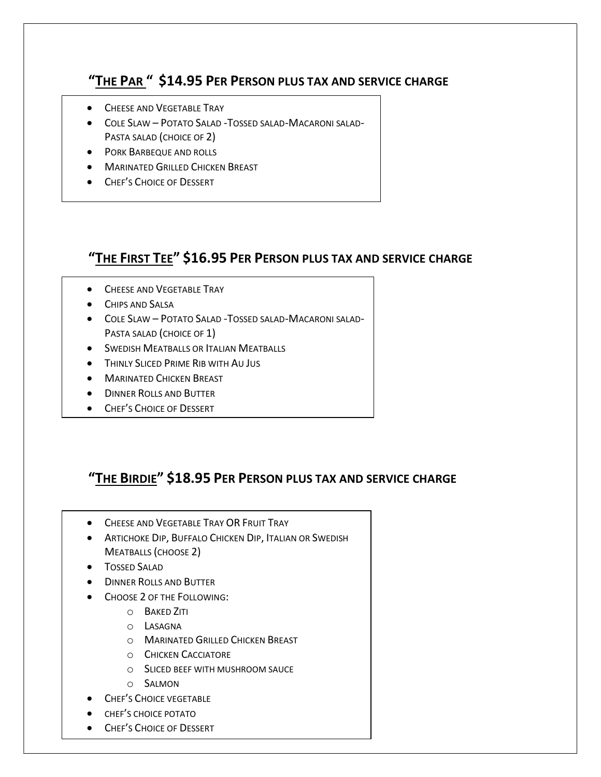#### "THE PAR " \$14.95 PER PERSON PLUS TAX AND SERVICE CHARGE

- ֖֖֖֚֚֚֬֝֬֝֬ **CHEESE AND VEGETABLE TRAY**
- COLE SLAW POTATO SALAD -TOSSED SALAD-MACARONI SALAD-PASTA SALAD (CHOICE OF 2)
- **PORK BARBEQUE AND ROLLS**
- **MARINATED GRILLED CHICKEN BREAST**
- **CHEF'S CHOICE OF DESSERT**

# "THE FIRST TEE" \$16.95 PER PERSON PLUS TAX AND SERVICE CHARGE

- **CHEESE AND VEGETABLE TRAY**
- CHIPS AND SALSA
- COLE SLAW POTATO SALAD -TOSSED SALAD-MACARONI SALAD-PASTA SALAD (CHOICE OF 1)
- **SWEDISH MEATBALLS OR ITALIAN MEATBALLS**
- **THINLY SLICED PRIME RIB WITH AU JUS**
- **MARINATED CHICKEN BREAST**
- **DINNER ROLLS AND BUTTER**
- **CHEF'S CHOICE OF DESSERT**

# "THE BIRDIE" \$18.95 PER PERSON PLUS TAX AND SERVICE CHARGE

- **CHEESE AND VEGETABLE TRAY OR FRUIT TRAY**
- **ARTICHOKE DIP, BUFFALO CHICKEN DIP, ITALIAN OR SWEDISH** MEATBALLS (CHOOSE 2)
- **•** TOSSED SALAD

l

- **DINNER ROLLS AND BUTTER**
- CHOOSE 2 OF THE FOLLOWING:
	- o BAKED ZITI
	- o LASAGNA
	- o MARINATED GRILLED CHICKEN BREAST
	- o CHICKEN CACCIATORE
	- o SLICED BEEF WITH MUSHROOM SAUCE
	- o SALMON
- **•** CHEF'S CHOICE VEGETABLE
- **•** CHEF'S CHOICE POTATO
- CHEF'S CHOICE OF DESSERT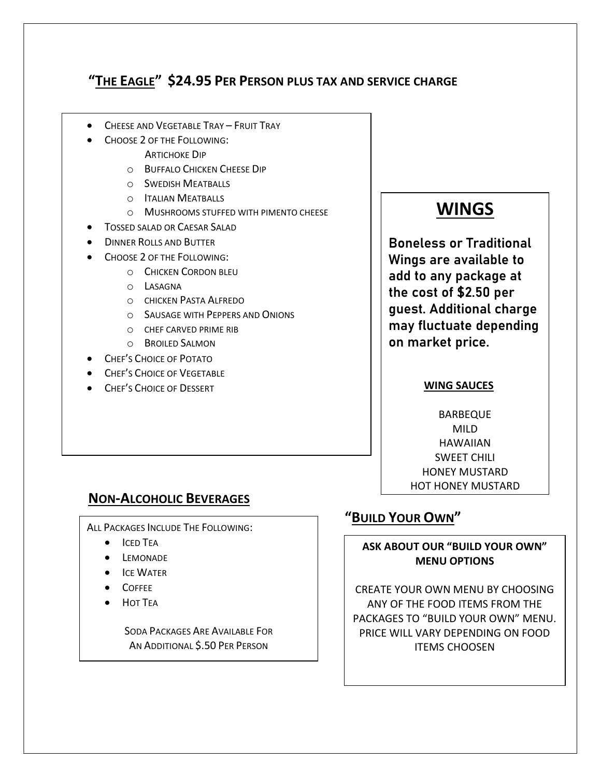# "THE EAGLE" \$24.95 PER PERSON PLUS TAX AND SERVICE CHARGE

- CHEESE AND VEGETABLE TRAY FRUIT TRAY
- CHOOSE 2 OF THE FOLLOWING:

l

- ARTICHOKE DIP
- o BUFFALO CHICKEN CHEESE DIP
- o SWEDISH MEATBALLS
- o ITALIAN MEATBALLS
- o MUSHROOMS STUFFED WITH PIMENTO CHEESE
- TOSSED SALAD OR CAESAR SALAD
- DINNER ROLLS AND BUTTER
- $\overline{\phantom{a}}$  CHOOSE 2 OF THE FOLLOWING:
	- o CHICKEN CORDON BLEU
	- o LASAGNA
	- o CHICKEN PASTA ALFREDO
	- o SAUSAGE WITH PEPPERS AND ONIONS
	- o CHEF CARVED PRIME RIB
	- o BROILED SALMON
- **CHEF'S CHOICE OF POTATO**
- CHEF'S CHOICE OF VEGETABLE
- **CHEF'S CHOICE OF DESSERT**

# **WINGS**

Boneless or Traditional Wings are available to add to any package at the cost of \$2.50 per guest. Additional charge may fluctuate depending on market price.

#### WING SAUCES

BARBEQUE MILD HAWAIIAN SWEET CHILI HONEY MUSTARD HOT HONEY MUSTARD

#### NON-ALCOHOLIC BEVERAGES

ALL PACKAGES INCLUDE THE FOLLOWING:

- **•** ICED TEA
- **•** LEMONADE
- **ICE WATER**
- COFFEE
- **•** HOT TEA

 $\overline{a}$ 

SODA PACKAGES ARE AVAILABLE FOR AN ADDITIONAL \$.50 PER PERSON

# "BUILD YOUR OWN"

ASK ABOUT OUR "BUILD YOUR OWN" MENU OPTIONS

CREATE YOUR OWN MENU BY CHOOSING ANY OF THE FOOD ITEMS FROM THE PACKAGES TO "BUILD YOUR OWN" MENU. PRICE WILL VARY DEPENDING ON FOOD ITEMS CHOOSEN